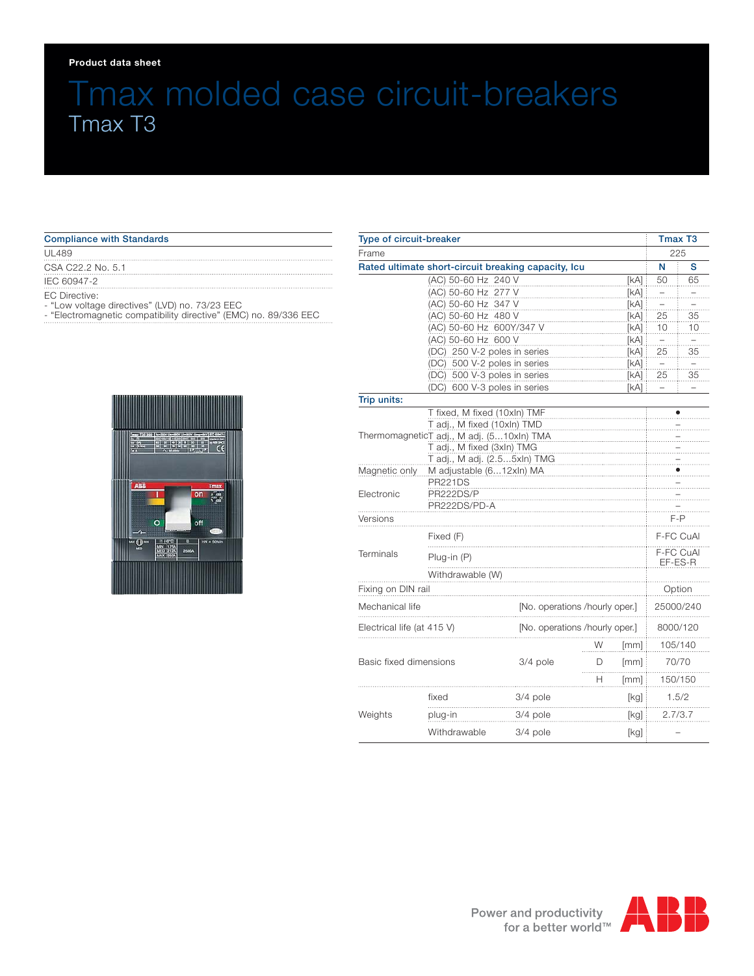#### **Product data sheet**

# Tmax molded case circuit-breakers Tmax T3

### Compliance with Standards

UL489

CSA C22.2 No. 5.1

IEC 60947-2

EC Directive: - "Low voltage directives" (LVD) no. 73/23 EEC

- "Electromagnetic compatibility directive" (EMC) no. 89/336 EEC



| Type of circuit-breaker<br>Frame |                                                                      |            |                                |                          | Tmax T <sub>3</sub><br>225 |         |
|----------------------------------|----------------------------------------------------------------------|------------|--------------------------------|--------------------------|----------------------------|---------|
|                                  |                                                                      |            |                                |                          |                            |         |
|                                  | (AC) 50-60 Hz 240 V                                                  |            |                                | [KA]                     | 50                         | 65      |
| (AC) 50-60 Hz 277 V              |                                                                      |            |                                | [KA]                     |                            |         |
|                                  | (AC) 50-60 Hz 347 V                                                  |            |                                | [kA]                     |                            |         |
|                                  | (AC) 50-60 Hz 480 V                                                  |            |                                | [KA]                     | 25                         | 35      |
|                                  | (AC) 50-60 Hz 600Y/347 V                                             |            |                                | [kA]                     | 10                         | 10      |
|                                  | (AC) 50-60 Hz 600 V<br>[kA]                                          |            |                                |                          |                            |         |
|                                  | (DC) 250 V-2 poles in series<br>[KA]                                 |            |                                |                          | 25                         | 35      |
|                                  | (DC) 500 V-2 poles in series<br>[KA]                                 |            |                                | $\overline{\phantom{0}}$ |                            |         |
|                                  | (DC) 500 V-3 poles in series<br>[kA]<br>(DC) 600 V-3 poles in series |            |                                |                          | 25                         | 35      |
|                                  |                                                                      |            |                                | [kA]                     |                            |         |
| Trip units:                      |                                                                      |            |                                |                          |                            |         |
|                                  | T fixed, M fixed (10xln) TMF<br>T adj., M fixed (10xln) TMD          |            |                                |                          |                            |         |
|                                  | ThermomagneticT adj., M adj. (510xln) TMA                            |            |                                |                          |                            |         |
|                                  | T adj., M fixed (3xln) TMG                                           |            |                                |                          |                            |         |
|                                  | T adj., M adj. (2.55xln) TMG                                         |            |                                |                          |                            |         |
| Magnetic only                    | M adjustable (612xln) MA                                             |            |                                |                          |                            |         |
|                                  | <b>PR221DS</b>                                                       |            |                                |                          |                            |         |
| Electronic                       | PR222DS/P                                                            |            |                                |                          |                            |         |
|                                  | PR222DS/PD-A                                                         |            |                                |                          |                            |         |
| Versions                         |                                                                      |            |                                |                          | $F - P$                    |         |
|                                  | Fixed (F)                                                            |            |                                | F-FC CuAl                |                            |         |
| Terminals                        | Plug-in (P)                                                          |            |                                | F-FC CuAl<br>EF-ES-R     |                            |         |
|                                  | Withdrawable (W)                                                     |            |                                |                          |                            |         |
| Fixing on DIN rail               |                                                                      |            |                                |                          | Option                     |         |
| Mechanical life                  |                                                                      |            | [No. operations /hourly oper.] |                          | 25000/240                  |         |
| Electrical life (at 415 V)       |                                                                      |            | [No. operations /hourly oper.] |                          | 8000/120                   |         |
|                                  |                                                                      |            | W                              | [mm]                     |                            | 105/140 |
| Basic fixed dimensions           |                                                                      | 3/4 pole   | D                              | [mm]                     |                            | 70/70   |
|                                  |                                                                      |            | н                              | [mm]                     |                            | 150/150 |
| Weights                          | fixed                                                                | $3/4$ pole |                                | [kg]                     | 1.5/2                      |         |
|                                  | plug-in                                                              | 3/4 pole   |                                | [kg] :                   | 2.7/3.7                    |         |
|                                  | Withdrawable                                                         | 3/4 pole   |                                | [kg]                     |                            |         |

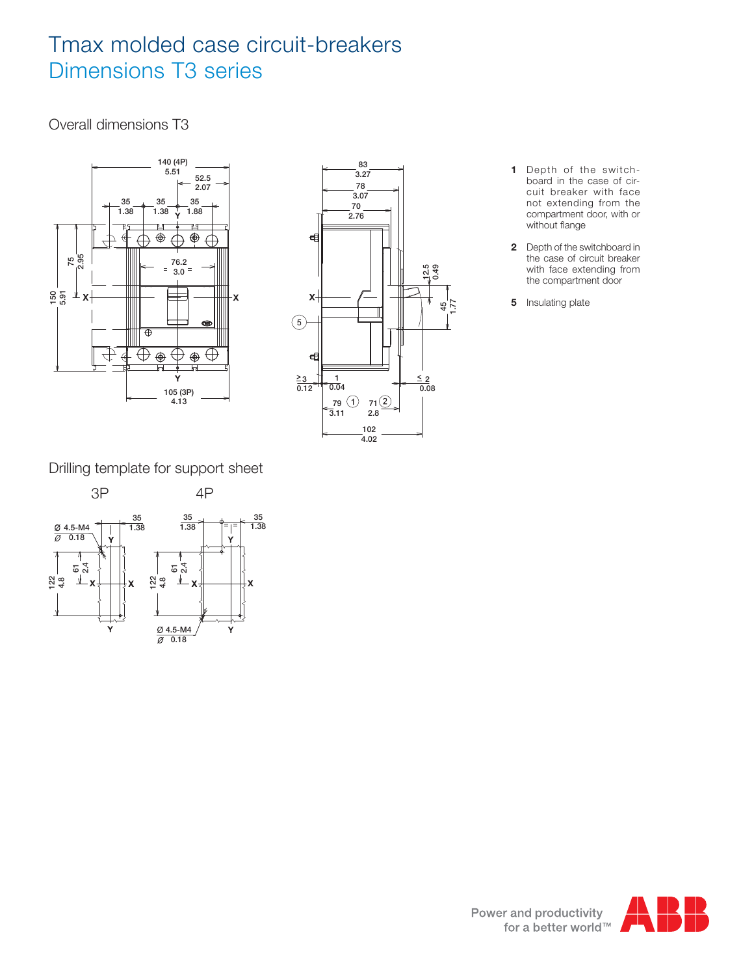## Tmax molded case circuit-breakers Dimensions T3 series

Overall dimensions T3





- **1** Depth of the switchboard in the case of circuit breaker with face not extending from the compartment door, with or without flange
- **2** Depth of the switchboard in the case of circuit breaker with face extending from the compartment door
- **5** Insulating plate

Drilling template for support sheet